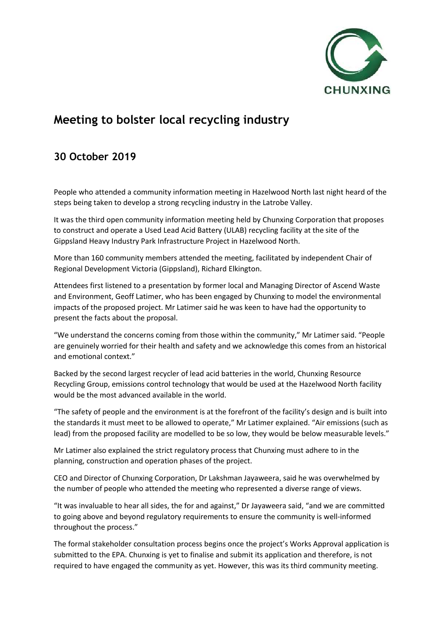

## **Meeting to bolster local recycling industry**

## **30 October 2019**

People who attended a community information meeting in Hazelwood North last night heard of the steps being taken to develop a strong recycling industry in the Latrobe Valley.

It was the third open community information meeting held by Chunxing Corporation that proposes to construct and operate a Used Lead Acid Battery (ULAB) recycling facility at the site of the Gippsland Heavy Industry Park Infrastructure Project in Hazelwood North.

More than 160 community members attended the meeting, facilitated by independent Chair of Regional Development Victoria (Gippsland), Richard Elkington.

Attendees first listened to a presentation by former local and Managing Director of Ascend Waste and Environment, Geoff Latimer, who has been engaged by Chunxing to model the environmental impacts of the proposed project. Mr Latimer said he was keen to have had the opportunity to present the facts about the proposal.

"We understand the concerns coming from those within the community," Mr Latimer said. "People are genuinely worried for their health and safety and we acknowledge this comes from an historical and emotional context."

Backed by the second largest recycler of lead acid batteries in the world, Chunxing Resource Recycling Group, emissions control technology that would be used at the Hazelwood North facility would be the most advanced available in the world.

"The safety of people and the environment is at the forefront of the facility's design and is built into the standards it must meet to be allowed to operate," Mr Latimer explained. "Air emissions (such as lead) from the proposed facility are modelled to be so low, they would be below measurable levels."

Mr Latimer also explained the strict regulatory process that Chunxing must adhere to in the planning, construction and operation phases of the project.

CEO and Director of Chunxing Corporation, Dr Lakshman Jayaweera, said he was overwhelmed by the number of people who attended the meeting who represented a diverse range of views.

"It was invaluable to hear all sides, the for and against," Dr Jayaweera said, "and we are committed to going above and beyond regulatory requirements to ensure the community is well-informed throughout the process."

The formal stakeholder consultation process begins once the project's Works Approval application is submitted to the EPA. Chunxing is yet to finalise and submit its application and therefore, is not required to have engaged the community as yet. However, this was its third community meeting.